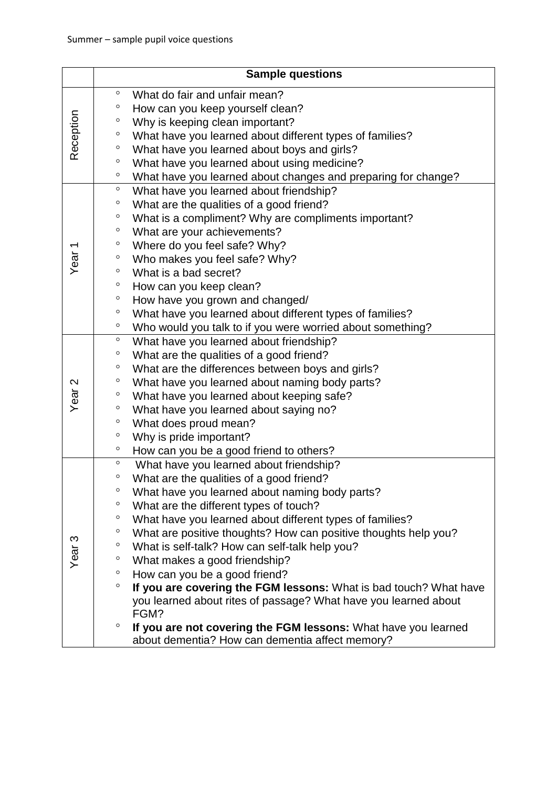|                   | <b>Sample questions</b>                                                      |
|-------------------|------------------------------------------------------------------------------|
| Reception         | $\circ$<br>What do fair and unfair mean?                                     |
|                   | $\circ$<br>How can you keep yourself clean?                                  |
|                   | $\circ$<br>Why is keeping clean important?                                   |
|                   | $\circ$<br>What have you learned about different types of families?          |
|                   | $\circ$<br>What have you learned about boys and girls?                       |
|                   | $\circ$<br>What have you learned about using medicine?                       |
|                   | $\circ$<br>What have you learned about changes and preparing for change?     |
| Year <sub>1</sub> | $\circ$<br>What have you learned about friendship?                           |
|                   | What are the qualities of a good friend?<br>$\circ$                          |
|                   | $\circ$<br>What is a compliment? Why are compliments important?              |
|                   | $\circ$<br>What are your achievements?                                       |
|                   | $\circ$<br>Where do you feel safe? Why?                                      |
|                   | $\circ$<br>Who makes you feel safe? Why?                                     |
|                   | $\circ$<br>What is a bad secret?                                             |
|                   | $\circ$<br>How can you keep clean?                                           |
|                   | $\circ$<br>How have you grown and changed/                                   |
|                   | $\circ$<br>What have you learned about different types of families?          |
|                   | $\circ$<br>Who would you talk to if you were worried about something?        |
|                   | $\circ$<br>What have you learned about friendship?                           |
|                   | $\circ$<br>What are the qualities of a good friend?                          |
| Year <sub>2</sub> | $\circ$<br>What are the differences between boys and girls?                  |
|                   | $\circ$<br>What have you learned about naming body parts?                    |
|                   | $\circ$<br>What have you learned about keeping safe?                         |
|                   | $\circ$<br>What have you learned about saying no?                            |
|                   | $\circ$<br>What does proud mean?                                             |
|                   | $\circ$<br>Why is pride important?                                           |
|                   | $\circ$<br>How can you be a good friend to others?                           |
| Year <sub>3</sub> | $\circ$<br>What have you learned about friendship?                           |
|                   | $\circ$<br>What are the qualities of a good friend?                          |
|                   | $\circ$<br>What have you learned about naming body parts?                    |
|                   | $\circ$<br>What are the different types of touch?                            |
|                   | $\circ$<br>What have you learned about different types of families?          |
|                   | $\circ$<br>What are positive thoughts? How can positive thoughts help you?   |
|                   | $\circ$<br>What is self-talk? How can self-talk help you?                    |
|                   | $\circ$<br>What makes a good friendship?                                     |
|                   | $\circ$<br>How can you be a good friend?                                     |
|                   | $\circ$<br>If you are covering the FGM lessons: What is bad touch? What have |
|                   | you learned about rites of passage? What have you learned about              |
|                   | FGM?                                                                         |
|                   | $\circ$<br>If you are not covering the FGM lessons: What have you learned    |
|                   | about dementia? How can dementia affect memory?                              |